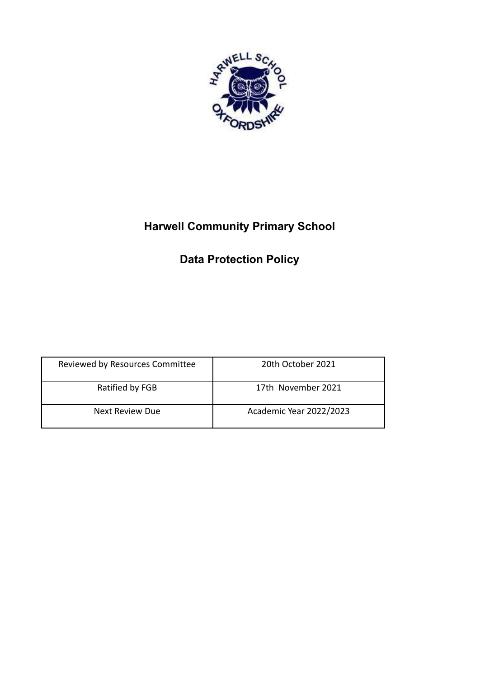

# **Harwell Community Primary School**

# **Data Protection Policy**

| Reviewed by Resources Committee | 20th October 2021       |
|---------------------------------|-------------------------|
| Ratified by FGB                 | 17th November 2021      |
| Next Review Due                 | Academic Year 2022/2023 |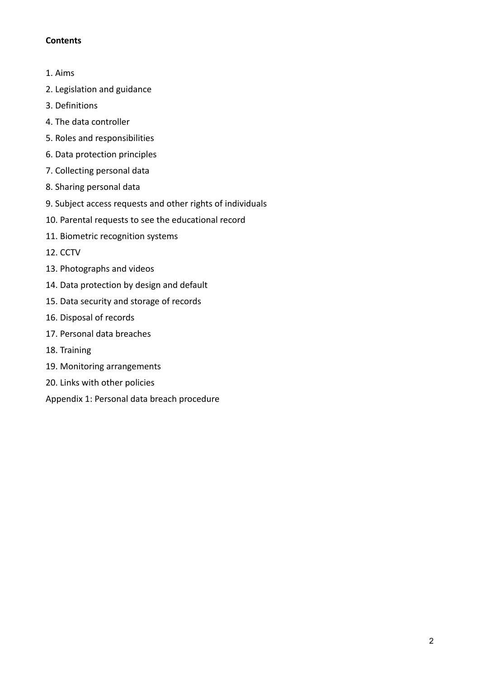## **Contents**

- 1. Aims
- 2. Legislation and guidance
- 3. Definitions
- 4. The data controller
- 5. Roles and responsibilities
- 6. Data protection principles
- 7. Collecting personal data
- 8. Sharing personal data
- 9. Subject access requests and other rights of individuals
- 10. Parental requests to see the educational record
- 11. Biometric recognition systems
- 12. CCTV
- 13. Photographs and videos
- 14. Data protection by design and default
- 15. Data security and storage of records
- 16. Disposal of records
- 17. Personal data breaches
- 18. Training
- 19. Monitoring arrangements
- 20. Links with other policies
- Appendix 1: Personal data breach procedure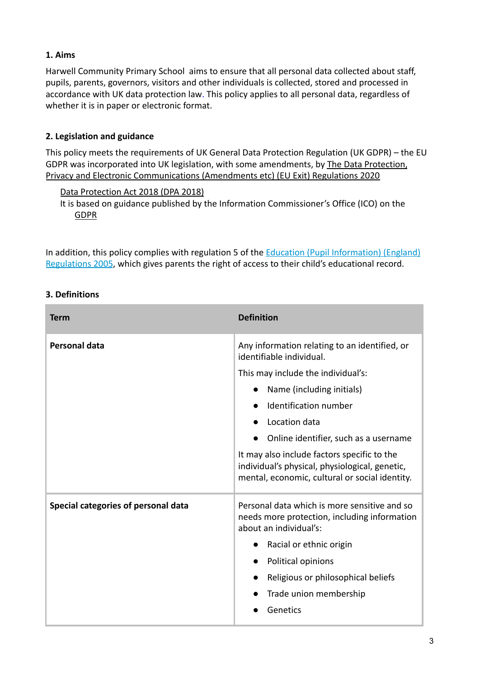## **1. Aims**

Harwell Community Primary School aims to ensure that all personal data collected about staff, pupils, parents, governors, visitors and other individuals is collected, stored and processed in accordance with UK data protection law. This policy applies to all personal data, regardless of whether it is in paper or electronic format.

## **2. Legislation and guidance**

This policy meets the requirements of UK General Data Protection Regulation (UK GDPR) – the EU GDPR was incorporated into UK legislation, with some amendments, by [The Data Protection,](https://www.legislation.gov.uk/uksi/2020/1586/made) [Privacy and Electronic Communications \(Amendments etc\) \(EU Exit\) Regulations 2020](https://www.legislation.gov.uk/uksi/2020/1586/made)

#### [Data Protection Act 2018 \(DPA 2018\)](http://www.legislation.gov.uk/ukpga/2018/12/contents/enacted)

It is based on guidance published by the Information Commissioner's Office (ICO) on th[e](https://ico.org.uk/for-organisations/guide-to-the-general-data-protection-regulation-gdpr/) [GDPR](https://ico.org.uk/for-organisations/guide-to-the-general-data-protection-regulation-gdpr/)

In addition, this policy complies with regulation 5 of the **Education (Pupil Information)** (England) [Regulations 2005](http://www.legislation.gov.uk/uksi/2005/1437/regulation/5/made), which gives parents the right of access to their child's educational record.

| . Definitions                              |                                                                                                                                                                                                                                                                                                                                  |
|--------------------------------------------|----------------------------------------------------------------------------------------------------------------------------------------------------------------------------------------------------------------------------------------------------------------------------------------------------------------------------------|
| Term                                       | <b>Definition</b>                                                                                                                                                                                                                                                                                                                |
| Personal data                              | Any information relating to an identified, or<br>identifiable individual.<br>This may include the individual's:<br>Name (including initials)<br>Identification number<br>Location data<br>Online identifier, such as a username<br>It may also include factors specific to the<br>individual's physical, physiological, genetic, |
| <b>Special categories of personal data</b> | mental, economic, cultural or social identity.<br>Personal data which is more sensitive and so<br>needs more protection, including information<br>about an individual's:<br>Racial or ethnic origin<br>Political opinions<br>Religious or philosophical beliefs<br>Trade union membership<br>Genetics                            |

## **3. Definitions**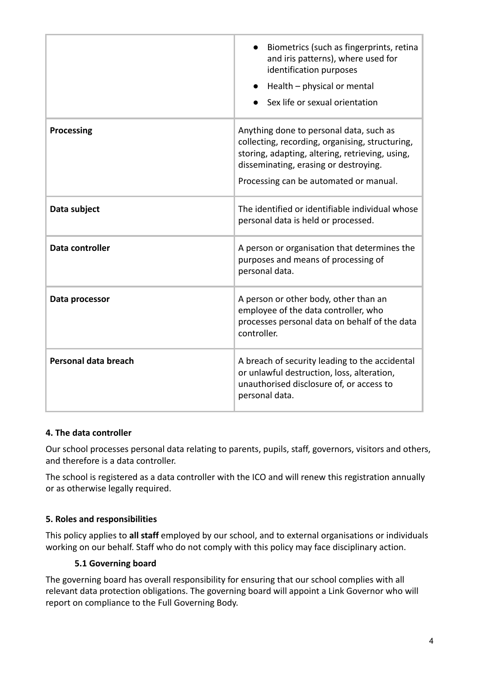|                      | Biometrics (such as fingerprints, retina<br>and iris patterns), where used for<br>identification purposes<br>Health - physical or mental<br>Sex life or sexual orientation                                                       |
|----------------------|----------------------------------------------------------------------------------------------------------------------------------------------------------------------------------------------------------------------------------|
| <b>Processing</b>    | Anything done to personal data, such as<br>collecting, recording, organising, structuring,<br>storing, adapting, altering, retrieving, using,<br>disseminating, erasing or destroying.<br>Processing can be automated or manual. |
| Data subject         | The identified or identifiable individual whose<br>personal data is held or processed.                                                                                                                                           |
| Data controller      | A person or organisation that determines the<br>purposes and means of processing of<br>personal data.                                                                                                                            |
| Data processor       | A person or other body, other than an<br>employee of the data controller, who<br>processes personal data on behalf of the data<br>controller.                                                                                    |
| Personal data breach | A breach of security leading to the accidental<br>or unlawful destruction, loss, alteration,<br>unauthorised disclosure of, or access to<br>personal data.                                                                       |

#### **4. The data controller**

Our school processes personal data relating to parents, pupils, staff, governors, visitors and others, and therefore is a data controller.

The school is registered as a data controller with the ICO and will renew this registration annually or as otherwise legally required.

## **5. Roles and responsibilities**

This policy applies to **all staff** employed by our school, and to external organisations or individuals working on our behalf. Staff who do not comply with this policy may face disciplinary action.

#### **5.1 Governing board**

The governing board has overall responsibility for ensuring that our school complies with all relevant data protection obligations. The governing board will appoint a Link Governor who will report on compliance to the Full Governing Body.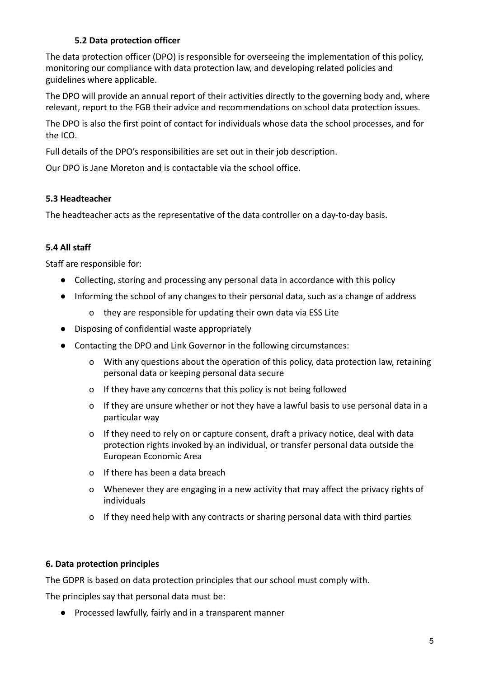## **5.2 Data protection officer**

The data protection officer (DPO) is responsible for overseeing the implementation of this policy, monitoring our compliance with data protection law, and developing related policies and guidelines where applicable.

The DPO will provide an annual report of their activities directly to the governing body and, where relevant, report to the FGB their advice and recommendations on school data protection issues.

The DPO is also the first point of contact for individuals whose data the school processes, and for the ICO.

Full details of the DPO's responsibilities are set out in their job description.

Our DPO is Jane Moreton and is contactable via the school office.

## **5.3 Headteacher**

The headteacher acts as the representative of the data controller on a day-to-day basis.

## **5.4 All staff**

Staff are responsible for:

- Collecting, storing and processing any personal data in accordance with this policy
- Informing the school of any changes to their personal data, such as a change of address
	- o they are responsible for updating their own data via ESS Lite
- Disposing of confidential waste appropriately
- Contacting the DPO and Link Governor in the following circumstances:
	- o With any questions about the operation of this policy, data protection law, retaining personal data or keeping personal data secure
	- o If they have any concerns that this policy is not being followed
	- o If they are unsure whether or not they have a lawful basis to use personal data in a particular way
	- o If they need to rely on or capture consent, draft a privacy notice, deal with data protection rights invoked by an individual, or transfer personal data outside the European Economic Area
	- o If there has been a data breach
	- o Whenever they are engaging in a new activity that may affect the privacy rights of individuals
	- o If they need help with any contracts or sharing personal data with third parties

## **6. Data protection principles**

The GDPR is based on data protection principles that our school must comply with.

The principles say that personal data must be:

● Processed lawfully, fairly and in a transparent manner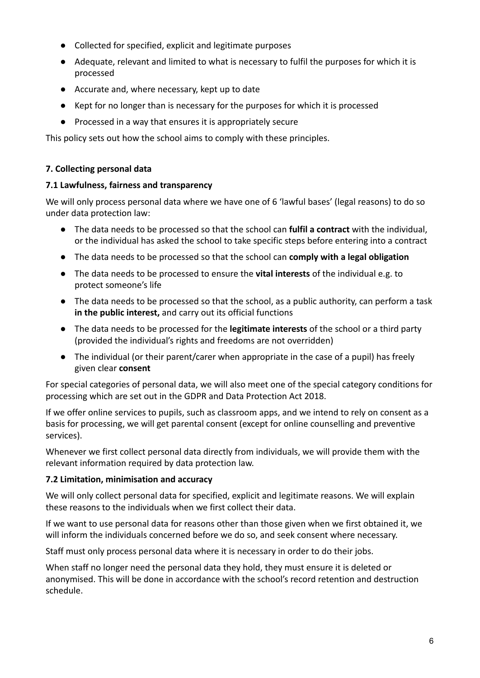- Collected for specified, explicit and legitimate purposes
- Adequate, relevant and limited to what is necessary to fulfil the purposes for which it is processed
- Accurate and, where necessary, kept up to date
- Kept for no longer than is necessary for the purposes for which it is processed
- Processed in a way that ensures it is appropriately secure

This policy sets out how the school aims to comply with these principles.

### **7. Collecting personal data**

#### **7.1 Lawfulness, fairness and transparency**

We will only process personal data where we have one of 6 'lawful bases' (legal reasons) to do so under data protection law:

- The data needs to be processed so that the school can **fulfil a contract** with the individual, or the individual has asked the school to take specific steps before entering into a contract
- The data needs to be processed so that the school can **comply with a legal obligation**
- The data needs to be processed to ensure the **vital interests** of the individual e.g. to protect someone's life
- The data needs to be processed so that the school, as a public authority, can perform a task **in the public interest,** and carry out its official functions
- The data needs to be processed for the **legitimate interests** of the school or a third party (provided the individual's rights and freedoms are not overridden)
- The individual (or their parent/carer when appropriate in the case of a pupil) has freely given clear **consent**

For special categories of personal data, we will also meet one of the special category conditions for processing which are set out in the GDPR and Data Protection Act 2018.

If we offer online services to pupils, such as classroom apps, and we intend to rely on consent as a basis for processing, we will get parental consent (except for online counselling and preventive services).

Whenever we first collect personal data directly from individuals, we will provide them with the relevant information required by data protection law.

#### **7.2 Limitation, minimisation and accuracy**

We will only collect personal data for specified, explicit and legitimate reasons. We will explain these reasons to the individuals when we first collect their data.

If we want to use personal data for reasons other than those given when we first obtained it, we will inform the individuals concerned before we do so, and seek consent where necessary.

Staff must only process personal data where it is necessary in order to do their jobs.

When staff no longer need the personal data they hold, they must ensure it is deleted or anonymised. This will be done in accordance with the school's record retention and destruction schedule.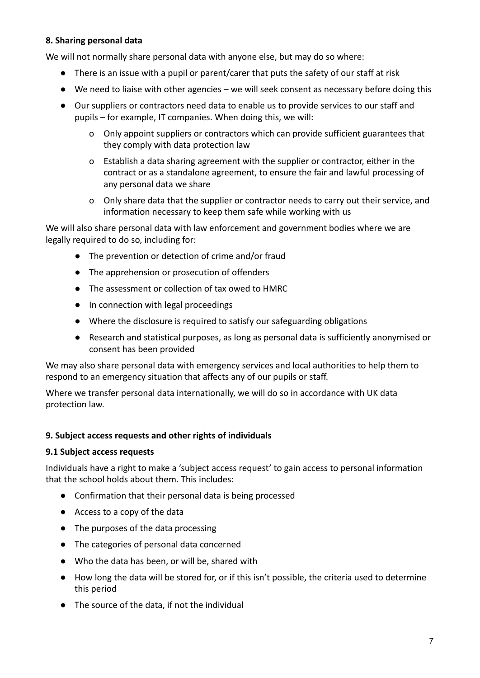### **8. Sharing personal data**

We will not normally share personal data with anyone else, but may do so where:

- There is an issue with a pupil or parent/carer that puts the safety of our staff at risk
- We need to liaise with other agencies we will seek consent as necessary before doing this
- Our suppliers or contractors need data to enable us to provide services to our staff and pupils – for example, IT companies. When doing this, we will:
	- o Only appoint suppliers or contractors which can provide sufficient guarantees that they comply with data protection law
	- o Establish a data sharing agreement with the supplier or contractor, either in the contract or as a standalone agreement, to ensure the fair and lawful processing of any personal data we share
	- o Only share data that the supplier or contractor needs to carry out their service, and information necessary to keep them safe while working with us

We will also share personal data with law enforcement and government bodies where we are legally required to do so, including for:

- The prevention or detection of crime and/or fraud
- The apprehension or prosecution of offenders
- The assessment or collection of tax owed to HMRC
- In connection with legal proceedings
- Where the disclosure is required to satisfy our safeguarding obligations
- Research and statistical purposes, as long as personal data is sufficiently anonymised or consent has been provided

We may also share personal data with emergency services and local authorities to help them to respond to an emergency situation that affects any of our pupils or staff.

Where we transfer personal data internationally, we will do so in accordance with UK data protection law.

#### **9. Subject access requests and other rights of individuals**

#### **9.1 Subject access requests**

Individuals have a right to make a 'subject access request' to gain access to personal information that the school holds about them. This includes:

- Confirmation that their personal data is being processed
- Access to a copy of the data
- The purposes of the data processing
- The categories of personal data concerned
- Who the data has been, or will be, shared with
- How long the data will be stored for, or if this isn't possible, the criteria used to determine this period
- The source of the data, if not the individual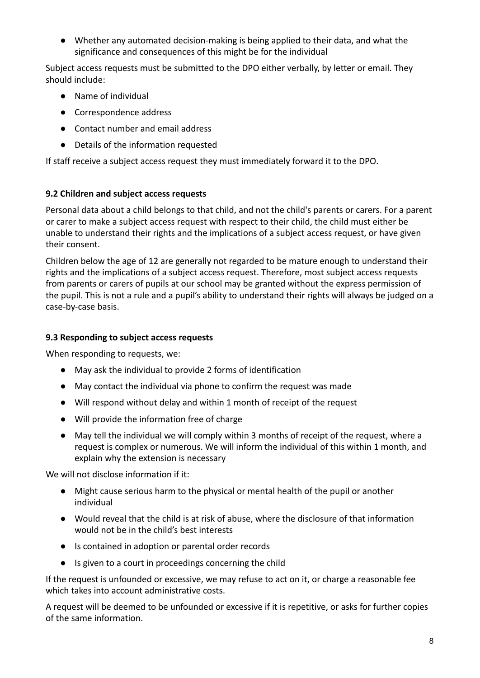● Whether any automated decision-making is being applied to their data, and what the significance and consequences of this might be for the individual

Subject access requests must be submitted to the DPO either verbally, by letter or email. They should include:

- Name of individual
- Correspondence address
- Contact number and email address
- Details of the information requested

If staff receive a subject access request they must immediately forward it to the DPO.

#### **9.2 Children and subject access requests**

Personal data about a child belongs to that child, and not the child's parents or carers. For a parent or carer to make a subject access request with respect to their child, the child must either be unable to understand their rights and the implications of a subject access request, or have given their consent.

Children below the age of 12 are generally not regarded to be mature enough to understand their rights and the implications of a subject access request. Therefore, most subject access requests from parents or carers of pupils at our school may be granted without the express permission of the pupil. This is not a rule and a pupil's ability to understand their rights will always be judged on a case-by-case basis.

### **9.3 Responding to subject access requests**

When responding to requests, we:

- May ask the individual to provide 2 forms of identification
- May contact the individual via phone to confirm the request was made
- Will respond without delay and within 1 month of receipt of the request
- Will provide the information free of charge
- May tell the individual we will comply within 3 months of receipt of the request, where a request is complex or numerous. We will inform the individual of this within 1 month, and explain why the extension is necessary

We will not disclose information if it:

- Might cause serious harm to the physical or mental health of the pupil or another individual
- Would reveal that the child is at risk of abuse, where the disclosure of that information would not be in the child's best interests
- Is contained in adoption or parental order records
- Is given to a court in proceedings concerning the child

If the request is unfounded or excessive, we may refuse to act on it, or charge a reasonable fee which takes into account administrative costs.

A request will be deemed to be unfounded or excessive if it is repetitive, or asks for further copies of the same information.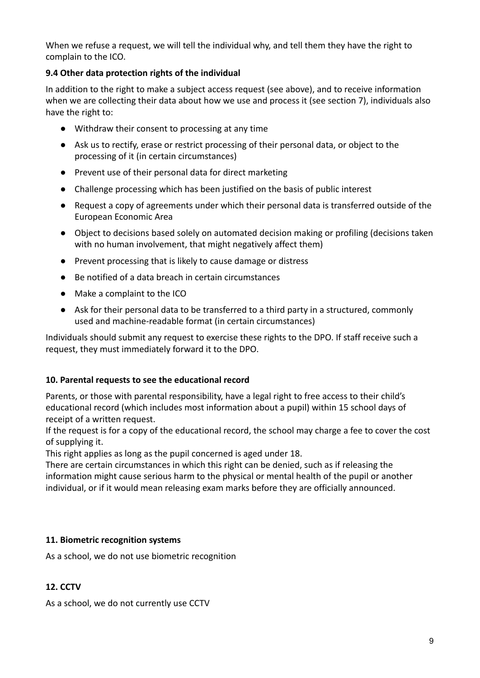When we refuse a request, we will tell the individual why, and tell them they have the right to complain to the ICO.

## **9.4 Other data protection rights of the individual**

In addition to the right to make a subject access request (see above), and to receive information when we are collecting their data about how we use and process it (see section 7), individuals also have the right to:

- Withdraw their consent to processing at any time
- Ask us to rectify, erase or restrict processing of their personal data, or object to the processing of it (in certain circumstances)
- Prevent use of their personal data for direct marketing
- Challenge processing which has been justified on the basis of public interest
- Request a copy of agreements under which their personal data is transferred outside of the European Economic Area
- Object to decisions based solely on automated decision making or profiling (decisions taken with no human involvement, that might negatively affect them)
- Prevent processing that is likely to cause damage or distress
- Be notified of a data breach in certain circumstances
- Make a complaint to the ICO
- Ask for their personal data to be transferred to a third party in a structured, commonly used and machine-readable format (in certain circumstances)

Individuals should submit any request to exercise these rights to the DPO. If staff receive such a request, they must immediately forward it to the DPO.

#### **10. Parental requests to see the educational record**

Parents, or those with parental responsibility, have a legal right to free access to their child's educational record (which includes most information about a pupil) within 15 school days of receipt of a written request.

If the request is for a copy of the educational record, the school may charge a fee to cover the cost of supplying it.

This right applies as long as the pupil concerned is aged under 18.

There are certain circumstances in which this right can be denied, such as if releasing the information might cause serious harm to the physical or mental health of the pupil or another individual, or if it would mean releasing exam marks before they are officially announced.

## **11. Biometric recognition systems**

As a school, we do not use biometric recognition

## **12. CCTV**

As a school, we do not currently use CCTV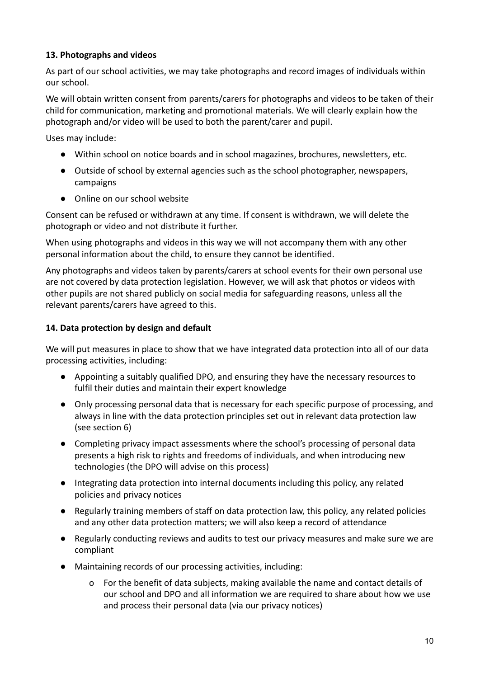## **13. Photographs and videos**

As part of our school activities, we may take photographs and record images of individuals within our school.

We will obtain written consent from parents/carers for photographs and videos to be taken of their child for communication, marketing and promotional materials. We will clearly explain how the photograph and/or video will be used to both the parent/carer and pupil.

Uses may include:

- Within school on notice boards and in school magazines, brochures, newsletters, etc.
- Outside of school by external agencies such as the school photographer, newspapers, campaigns
- Online on our school website

Consent can be refused or withdrawn at any time. If consent is withdrawn, we will delete the photograph or video and not distribute it further.

When using photographs and videos in this way we will not accompany them with any other personal information about the child, to ensure they cannot be identified.

Any photographs and videos taken by parents/carers at school events for their own personal use are not covered by data protection legislation. However, we will ask that photos or videos with other pupils are not shared publicly on social media for safeguarding reasons, unless all the relevant parents/carers have agreed to this.

## **14. Data protection by design and default**

We will put measures in place to show that we have integrated data protection into all of our data processing activities, including:

- Appointing a suitably qualified DPO, and ensuring they have the necessary resources to fulfil their duties and maintain their expert knowledge
- Only processing personal data that is necessary for each specific purpose of processing, and always in line with the data protection principles set out in relevant data protection law (see section 6)
- Completing privacy impact assessments where the school's processing of personal data presents a high risk to rights and freedoms of individuals, and when introducing new technologies (the DPO will advise on this process)
- Integrating data protection into internal documents including this policy, any related policies and privacy notices
- Regularly training members of staff on data protection law, this policy, any related policies and any other data protection matters; we will also keep a record of attendance
- Regularly conducting reviews and audits to test our privacy measures and make sure we are compliant
- Maintaining records of our processing activities, including:
	- o For the benefit of data subjects, making available the name and contact details of our school and DPO and all information we are required to share about how we use and process their personal data (via our privacy notices)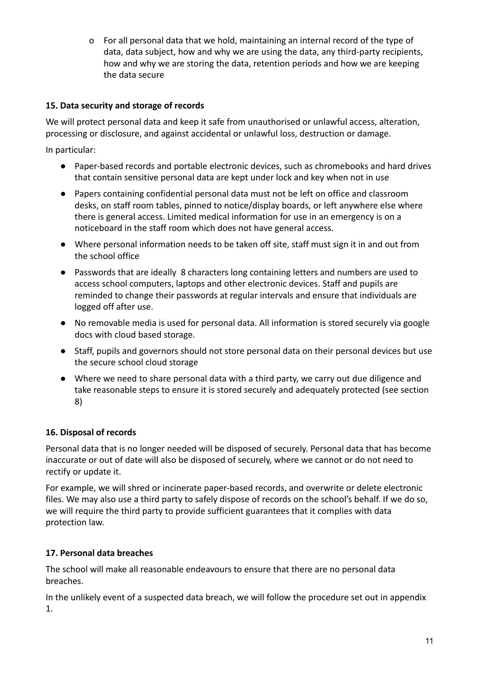o For all personal data that we hold, maintaining an internal record of the type of data, data subject, how and why we are using the data, any third-party recipients, how and why we are storing the data, retention periods and how we are keeping the data secure

## **15. Data security and storage of records**

We will protect personal data and keep it safe from unauthorised or unlawful access, alteration, processing or disclosure, and against accidental or unlawful loss, destruction or damage.

In particular:

- Paper-based records and portable electronic devices, such as chromebooks and hard drives that contain sensitive personal data are kept under lock and key when not in use
- Papers containing confidential personal data must not be left on office and classroom desks, on staff room tables, pinned to notice/display boards, or left anywhere else where there is general access. Limited medical information for use in an emergency is on a noticeboard in the staff room which does not have general access.
- Where personal information needs to be taken off site, staff must sign it in and out from the school office
- Passwords that are ideally 8 characters long containing letters and numbers are used to access school computers, laptops and other electronic devices. Staff and pupils are reminded to change their passwords at regular intervals and ensure that individuals are logged off after use.
- No removable media is used for personal data. All information is stored securely via google docs with cloud based storage.
- Staff, pupils and governors should not store personal data on their personal devices but use the secure school cloud storage
- Where we need to share personal data with a third party, we carry out due diligence and take reasonable steps to ensure it is stored securely and adequately protected (see section 8)

## **16. Disposal of records**

Personal data that is no longer needed will be disposed of securely. Personal data that has become inaccurate or out of date will also be disposed of securely, where we cannot or do not need to rectify or update it.

For example, we will shred or incinerate paper-based records, and overwrite or delete electronic files. We may also use a third party to safely dispose of records on the school's behalf. If we do so, we will require the third party to provide sufficient guarantees that it complies with data protection law.

## **17. Personal data breaches**

The school will make all reasonable endeavours to ensure that there are no personal data breaches.

In the unlikely event of a suspected data breach, we will follow the procedure set out in appendix 1.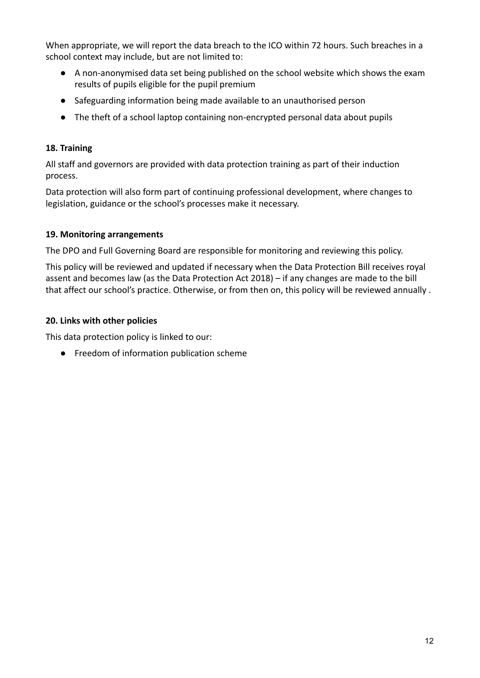When appropriate, we will report the data breach to the ICO within 72 hours. Such breaches in a school context may include, but are not limited to:

- A non-anonymised data set being published on the school website which shows the exam results of pupils eligible for the pupil premium
- Safeguarding information being made available to an unauthorised person
- The theft of a school laptop containing non-encrypted personal data about pupils

## **18. Training**

All staff and governors are provided with data protection training as part of their induction process.

Data protection will also form part of continuing professional development, where changes to legislation, guidance or the school's processes make it necessary.

## **19. Monitoring arrangements**

The DPO and Full Governing Board are responsible for monitoring and reviewing this policy.

This policy will be reviewed and updated if necessary when the Data Protection Bill receives royal assent and becomes law (as the Data Protection Act 2018) – if any changes are made to the bill that affect our school's practice. Otherwise, or from then on, this policy will be reviewed annually .

## **20. Links with other policies**

This data protection policy is linked to our:

● Freedom of information publication scheme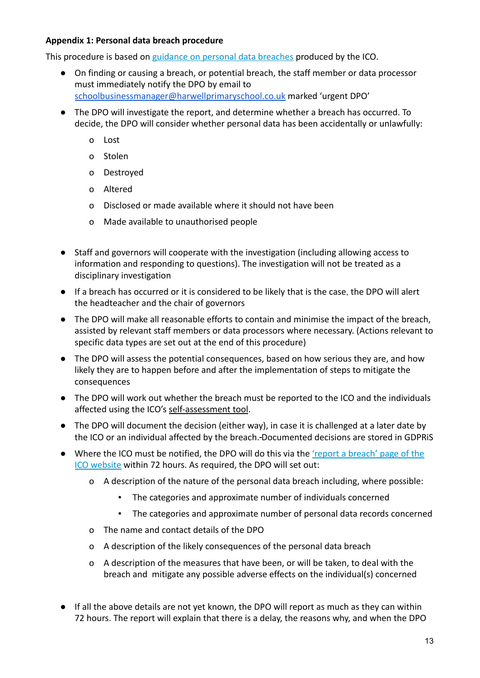#### **Appendix 1: Personal data breach procedure**

This procedure is based on [guidance on personal data](https://ico.org.uk/for-organisations/guide-to-the-general-data-protection-regulation-gdpr/personal-data-breaches/) breaches produced by the ICO.

- On finding or causing a breach, or potential breach, the staff member or data processor must immediately notify the DPO by email to [schoolbusinessmanager@harwellprimaryschool.co.uk](mailto:schoolbusinessmanager@harwellprimaryschool.co.uk) marked 'urgent DPO'
- The DPO will investigate the report, and determine whether a breach has occurred. To decide, the DPO will consider whether personal data has been accidentally or unlawfully:
	- o Lost
	- o Stolen
	- o Destroyed
	- o Altered
	- o Disclosed or made available where it should not have been
	- o Made available to unauthorised people
- Staff and governors will cooperate with the investigation (including allowing access to information and responding to questions). The investigation will not be treated as a disciplinary investigation
- If a breach has occurred or it is considered to be likely that is the case, the DPO will alert the headteacher and the chair of governors
- The DPO will make all reasonable efforts to contain and minimise the impact of the breach, assisted by relevant staff members or data processors where necessary. (Actions relevant to specific data types are set out at the end of this procedure)
- The DPO will assess the potential consequences, based on how serious they are, and how likely they are to happen before and after the implementation of steps to mitigate the consequences
- The DPO will work out whether the breach must be reported to the ICO and the individuals affected using the ICO's [self-assessment tool](https://ico.org.uk/for-organisations/report-a-breach/personal-data-breach-assessment/).
- The DPO will document the decision (either way), in case it is challenged at a later date by the ICO or an individual affected by the breach. Documented decisions are stored in GDPRiS
- Where the ICO must be notified, the DPO will do this via the ['report a breach' page of the](https://ico.org.uk/for-organisations/report-a-breach/) [ICO website](https://ico.org.uk/for-organisations/report-a-breach/) within 72 hours. As required, the DPO will set out:
	- o A description of the nature of the personal data breach including, where possible:
		- The categories and approximate number of individuals concerned
		- The categories and approximate number of personal data records concerned
	- o The name and contact details of the DPO
	- o A description of the likely consequences of the personal data breach
	- o A description of the measures that have been, or will be taken, to deal with the breach and mitigate any possible adverse effects on the individual(s) concerned
- If all the above details are not yet known, the DPO will report as much as they can within 72 hours. The report will explain that there is a delay, the reasons why, and when the DPO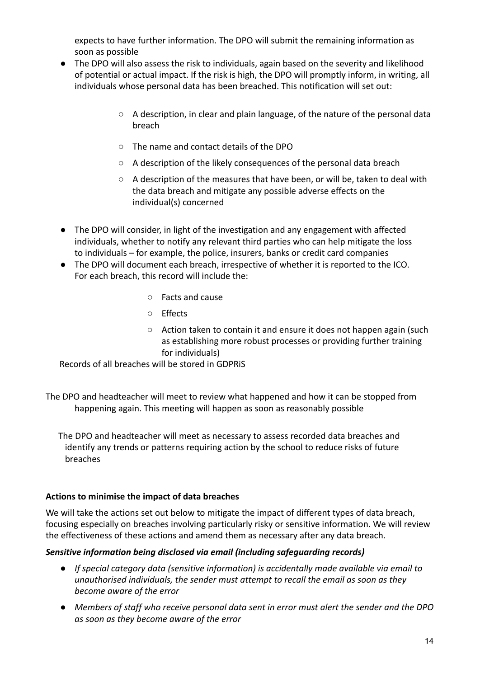expects to have further information. The DPO will submit the remaining information as soon as possible

- The DPO will also assess the risk to individuals, again based on the severity and likelihood of potential or actual impact. If the risk is high, the DPO will promptly inform, in writing, all individuals whose personal data has been breached. This notification will set out:
	- A description, in clear and plain language, of the nature of the personal data breach
	- The name and contact details of the DPO
	- A description of the likely consequences of the personal data breach
	- $\circ$  A description of the measures that have been, or will be, taken to deal with the data breach and mitigate any possible adverse effects on the individual(s) concerned
- The DPO will consider, in light of the investigation and any engagement with affected individuals, whether to notify any relevant third parties who can help mitigate the loss to individuals – for example, the police, insurers, banks or credit card companies
- The DPO will document each breach, irrespective of whether it is reported to the ICO. For each breach, this record will include the:
	- Facts and cause
	- Effects
	- Action taken to contain it and ensure it does not happen again (such as establishing more robust processes or providing further training for individuals)

Records of all breaches will be stored in GDPRiS

The DPO and headteacher will meet to review what happened and how it can be stopped from happening again. This meeting will happen as soon as reasonably possible

The DPO and headteacher will meet as necessary to assess recorded data breaches and identify any trends or patterns requiring action by the school to reduce risks of future breaches

## **Actions to minimise the impact of data breaches**

We will take the actions set out below to mitigate the impact of different types of data breach, focusing especially on breaches involving particularly risky or sensitive information. We will review the effectiveness of these actions and amend them as necessary after any data breach.

#### *Sensitive information being disclosed via email (including safeguarding records)*

- *● If special category data (sensitive information) is accidentally made available via email to unauthorised individuals, the sender must attempt to recall the email as soon as they become aware of the error*
- *● Members of staff who receive personal data sent in error must alert the sender and the DPO as soon as they become aware of the error*